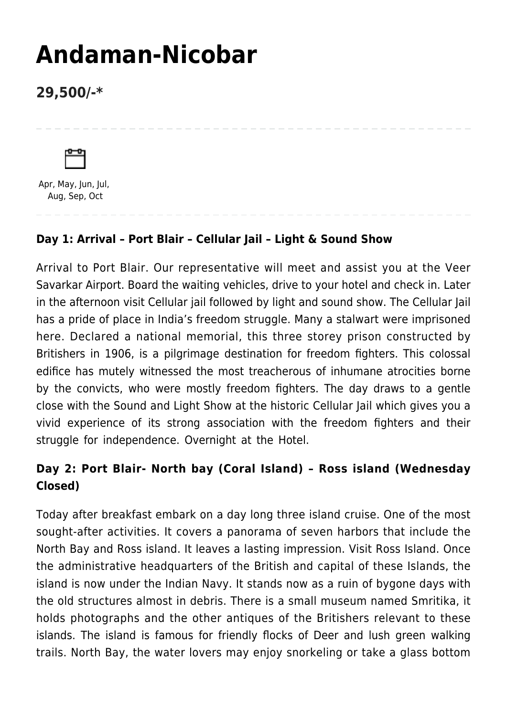# **[Andaman-Nicobar](https://www.mylastminutetrip.com/tour/andaman-nicobar-2/)**

# **29,500/-\***



Apr, May, Jun, Jul, Aug, Sep, Oct

## **Day 1: Arrival – Port Blair – Cellular Jail – Light & Sound Show**

Arrival to Port Blair. Our representative will meet and assist you at the Veer Savarkar Airport. Board the waiting vehicles, drive to your hotel and check in. Later in the afternoon visit Cellular jail followed by light and sound show. The Cellular Jail has a pride of place in India's freedom struggle. Many a stalwart were imprisoned here. Declared a national memorial, this three storey prison constructed by Britishers in 1906, is a pilgrimage destination for freedom fighters. This colossal edifice has mutely witnessed the most treacherous of inhumane atrocities borne by the convicts, who were mostly freedom fighters. The day draws to a gentle close with the Sound and Light Show at the historic Cellular Jail which gives you a vivid experience of its strong association with the freedom fighters and their struggle for independence. Overnight at the Hotel.

# **Day 2: Port Blair- North bay (Coral Island) – Ross island (Wednesday Closed)**

Today after breakfast embark on a day long three island cruise. One of the most sought-after activities. It covers a panorama of seven harbors that include the North Bay and Ross island. It leaves a lasting impression. Visit Ross Island. Once the administrative headquarters of the British and capital of these Islands, the island is now under the Indian Navy. It stands now as a ruin of bygone days with the old structures almost in debris. There is a small museum named Smritika, it holds photographs and the other antiques of the Britishers relevant to these islands. The island is famous for friendly flocks of Deer and lush green walking trails. North Bay, the water lovers may enjoy snorkeling or take a glass bottom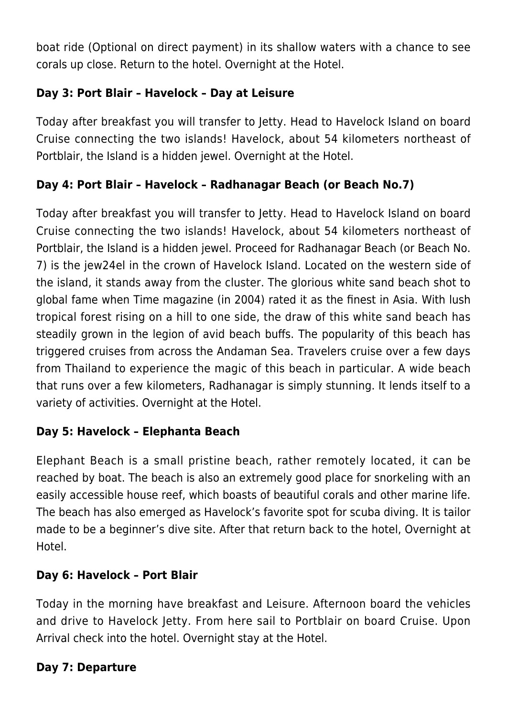boat ride (Optional on direct payment) in its shallow waters with a chance to see corals up close. Return to the hotel. Overnight at the Hotel.

## **Day 3: Port Blair – Havelock – Day at Leisure**

Today after breakfast you will transfer to Jetty. Head to Havelock Island on board Cruise connecting the two islands! Havelock, about 54 kilometers northeast of Portblair, the Island is a hidden jewel. Overnight at the Hotel.

## **Day 4: Port Blair – Havelock – Radhanagar Beach (or Beach No.7)**

Today after breakfast you will transfer to Jetty. Head to Havelock Island on board Cruise connecting the two islands! Havelock, about 54 kilometers northeast of Portblair, the Island is a hidden jewel. Proceed for Radhanagar Beach (or Beach No. 7) is the jew24el in the crown of Havelock Island. Located on the western side of the island, it stands away from the cluster. The glorious white sand beach shot to global fame when Time magazine (in 2004) rated it as the finest in Asia. With lush tropical forest rising on a hill to one side, the draw of this white sand beach has steadily grown in the legion of avid beach buffs. The popularity of this beach has triggered cruises from across the Andaman Sea. Travelers cruise over a few days from Thailand to experience the magic of this beach in particular. A wide beach that runs over a few kilometers, Radhanagar is simply stunning. It lends itself to a variety of activities. Overnight at the Hotel.

#### **Day 5: Havelock – Elephanta Beach**

Elephant Beach is a small pristine beach, rather remotely located, it can be reached by boat. The beach is also an extremely good place for snorkeling with an easily accessible house reef, which boasts of beautiful corals and other marine life. The beach has also emerged as Havelock's favorite spot for scuba diving. It is tailor made to be a beginner's dive site. After that return back to the hotel, Overnight at Hotel.

#### **Day 6: Havelock – Port Blair**

Today in the morning have breakfast and Leisure. Afternoon board the vehicles and drive to Havelock Jetty. From here sail to Portblair on board Cruise. Upon Arrival check into the hotel. Overnight stay at the Hotel.

#### **Day 7: Departure**